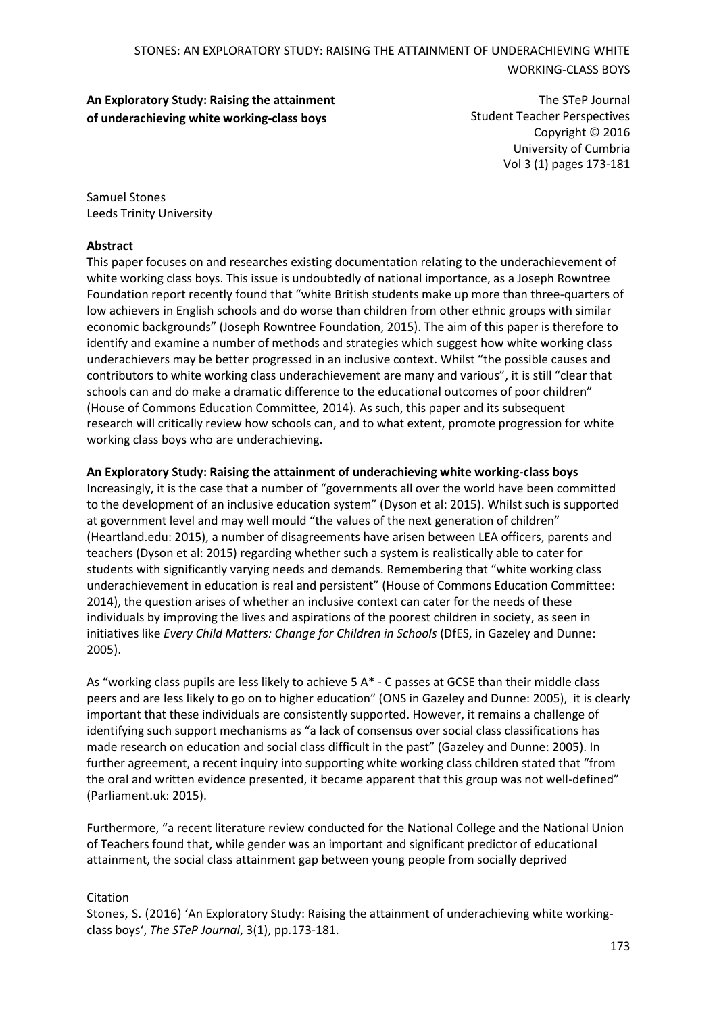# **An Exploratory Study: Raising the attainment of underachieving white working-class boys**

The STeP Journal Student Teacher Perspectives Copyright © 2016 University of Cumbria Vol 3 (1) pages 173-181

Samuel Stones Leeds Trinity University

#### **Abstract**

This paper focuses on and researches existing documentation relating to the underachievement of white working class boys. This issue is undoubtedly of national importance, as a Joseph Rowntree Foundation report recently found that "white British students make up more than three-quarters of low achievers in English schools and do worse than children from other ethnic groups with similar economic backgrounds" (Joseph Rowntree Foundation, 2015). The aim of this paper is therefore to identify and examine a number of methods and strategies which suggest how white working class underachievers may be better progressed in an inclusive context. Whilst "the possible causes and contributors to white working class underachievement are many and various", it is still "clear that schools can and do make a dramatic difference to the educational outcomes of poor children" (House of Commons Education Committee, 2014). As such, this paper and its subsequent research will critically review how schools can, and to what extent, promote progression for white working class boys who are underachieving.

#### **An Exploratory Study: Raising the attainment of underachieving white working-class boys**

Increasingly, it is the case that a number of "governments all over the world have been committed to the development of an inclusive education system" (Dyson et al: 2015). Whilst such is supported at government level and may well mould "the values of the next generation of children" (Heartland.edu: 2015), a number of disagreements have arisen between LEA officers, parents and teachers (Dyson et al: 2015) regarding whether such a system is realistically able to cater for students with significantly varying needs and demands. Remembering that "white working class underachievement in education is real and persistent" (House of Commons Education Committee: 2014), the question arises of whether an inclusive context can cater for the needs of these individuals by improving the lives and aspirations of the poorest children in society, as seen in initiatives like *Every Child Matters: Change for Children in Schools* (DfES, in Gazeley and Dunne: 2005).

As "working class pupils are less likely to achieve 5 A\* - C passes at GCSE than their middle class peers and are less likely to go on to higher education" (ONS in Gazeley and Dunne: 2005), it is clearly important that these individuals are consistently supported. However, it remains a challenge of identifying such support mechanisms as "a lack of consensus over social class classifications has made research on education and social class difficult in the past" (Gazeley and Dunne: 2005). In further agreement, a recent inquiry into supporting white working class children stated that "from the oral and written evidence presented, it became apparent that this group was not well-defined" (Parliament.uk: 2015).

Furthermore, "a recent literature review conducted for the National College and the National Union of Teachers found that, while gender was an important and significant predictor of educational attainment, the social class attainment gap between young people from socially deprived

### Citation

Stones, S. (2016) 'An Exploratory Study: Raising the attainment of underachieving white workingclass boys', *The STeP Journal*, 3(1), pp.173-181.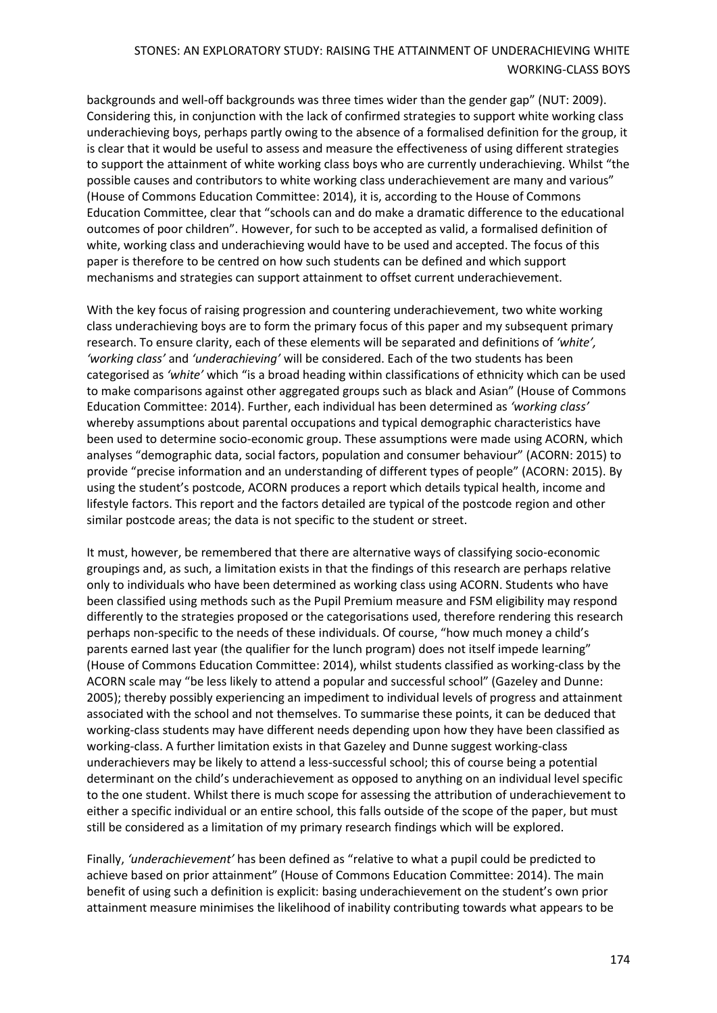backgrounds and well-off backgrounds was three times wider than the gender gap" (NUT: 2009). Considering this, in conjunction with the lack of confirmed strategies to support white working class underachieving boys, perhaps partly owing to the absence of a formalised definition for the group, it is clear that it would be useful to assess and measure the effectiveness of using different strategies to support the attainment of white working class boys who are currently underachieving. Whilst "the possible causes and contributors to white working class underachievement are many and various" (House of Commons Education Committee: 2014), it is, according to the House of Commons Education Committee, clear that "schools can and do make a dramatic difference to the educational outcomes of poor children". However, for such to be accepted as valid, a formalised definition of white, working class and underachieving would have to be used and accepted. The focus of this paper is therefore to be centred on how such students can be defined and which support mechanisms and strategies can support attainment to offset current underachievement.

With the key focus of raising progression and countering underachievement, two white working class underachieving boys are to form the primary focus of this paper and my subsequent primary research. To ensure clarity, each of these elements will be separated and definitions of *'white', 'working class'* and *'underachieving'* will be considered. Each of the two students has been categorised as *'white'* which "is a broad heading within classifications of ethnicity which can be used to make comparisons against other aggregated groups such as black and Asian" (House of Commons Education Committee: 2014). Further, each individual has been determined as *'working class'*  whereby assumptions about parental occupations and typical demographic characteristics have been used to determine socio-economic group. These assumptions were made using ACORN, which analyses "demographic data, social factors, population and consumer behaviour" (ACORN: 2015) to provide "precise information and an understanding of different types of people" (ACORN: 2015). By using the student's postcode, ACORN produces a report which details typical health, income and lifestyle factors. This report and the factors detailed are typical of the postcode region and other similar postcode areas; the data is not specific to the student or street.

It must, however, be remembered that there are alternative ways of classifying socio-economic groupings and, as such, a limitation exists in that the findings of this research are perhaps relative only to individuals who have been determined as working class using ACORN. Students who have been classified using methods such as the Pupil Premium measure and FSM eligibility may respond differently to the strategies proposed or the categorisations used, therefore rendering this research perhaps non-specific to the needs of these individuals. Of course, "how much money a child's parents earned last year (the qualifier for the lunch program) does not itself impede learning" (House of Commons Education Committee: 2014), whilst students classified as working-class by the ACORN scale may "be less likely to attend a popular and successful school" (Gazeley and Dunne: 2005); thereby possibly experiencing an impediment to individual levels of progress and attainment associated with the school and not themselves. To summarise these points, it can be deduced that working-class students may have different needs depending upon how they have been classified as working-class. A further limitation exists in that Gazeley and Dunne suggest working-class underachievers may be likely to attend a less-successful school; this of course being a potential determinant on the child's underachievement as opposed to anything on an individual level specific to the one student. Whilst there is much scope for assessing the attribution of underachievement to either a specific individual or an entire school, this falls outside of the scope of the paper, but must still be considered as a limitation of my primary research findings which will be explored.

Finally, *'underachievement'* has been defined as "relative to what a pupil could be predicted to achieve based on prior attainment" (House of Commons Education Committee: 2014). The main benefit of using such a definition is explicit: basing underachievement on the student's own prior attainment measure minimises the likelihood of inability contributing towards what appears to be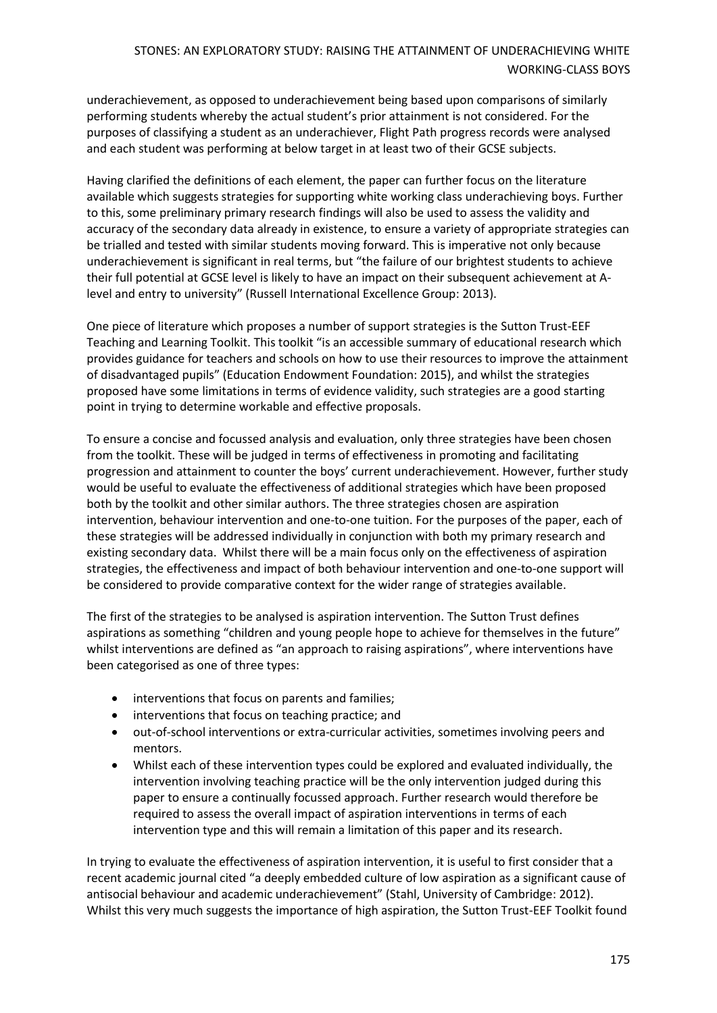underachievement, as opposed to underachievement being based upon comparisons of similarly performing students whereby the actual student's prior attainment is not considered. For the purposes of classifying a student as an underachiever, Flight Path progress records were analysed and each student was performing at below target in at least two of their GCSE subjects.

Having clarified the definitions of each element, the paper can further focus on the literature available which suggests strategies for supporting white working class underachieving boys. Further to this, some preliminary primary research findings will also be used to assess the validity and accuracy of the secondary data already in existence, to ensure a variety of appropriate strategies can be trialled and tested with similar students moving forward. This is imperative not only because underachievement is significant in real terms, but "the failure of our brightest students to achieve their full potential at GCSE level is likely to have an impact on their subsequent achievement at Alevel and entry to university" (Russell International Excellence Group: 2013).

One piece of literature which proposes a number of support strategies is the Sutton Trust-EEF Teaching and Learning Toolkit. This toolkit "is an accessible summary of educational research which provides guidance for teachers and schools on how to use their resources to improve the attainment of disadvantaged pupils" (Education Endowment Foundation: 2015), and whilst the strategies proposed have some limitations in terms of evidence validity, such strategies are a good starting point in trying to determine workable and effective proposals.

To ensure a concise and focussed analysis and evaluation, only three strategies have been chosen from the toolkit. These will be judged in terms of effectiveness in promoting and facilitating progression and attainment to counter the boys' current underachievement. However, further study would be useful to evaluate the effectiveness of additional strategies which have been proposed both by the toolkit and other similar authors. The three strategies chosen are aspiration intervention, behaviour intervention and one-to-one tuition. For the purposes of the paper, each of these strategies will be addressed individually in conjunction with both my primary research and existing secondary data. Whilst there will be a main focus only on the effectiveness of aspiration strategies, the effectiveness and impact of both behaviour intervention and one-to-one support will be considered to provide comparative context for the wider range of strategies available.

The first of the strategies to be analysed is aspiration intervention. The Sutton Trust defines aspirations as something "children and young people hope to achieve for themselves in the future" whilst interventions are defined as "an approach to raising aspirations", where interventions have been categorised as one of three types:

- interventions that focus on parents and families;
- interventions that focus on teaching practice; and
- out-of-school interventions or extra-curricular activities, sometimes involving peers and mentors.
- Whilst each of these intervention types could be explored and evaluated individually, the intervention involving teaching practice will be the only intervention judged during this paper to ensure a continually focussed approach. Further research would therefore be required to assess the overall impact of aspiration interventions in terms of each intervention type and this will remain a limitation of this paper and its research.

In trying to evaluate the effectiveness of aspiration intervention, it is useful to first consider that a recent academic journal cited "a deeply embedded culture of low aspiration as a significant cause of antisocial behaviour and academic underachievement" (Stahl, University of Cambridge: 2012). Whilst this very much suggests the importance of high aspiration, the Sutton Trust-EEF Toolkit found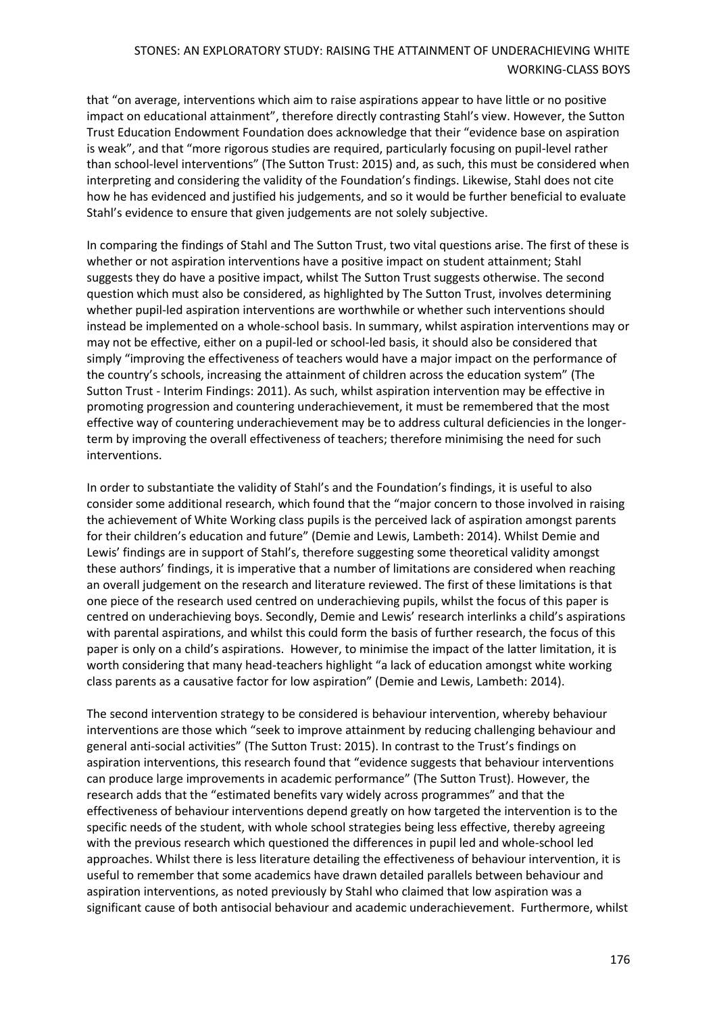that "on average, interventions which aim to raise aspirations appear to have little or no positive impact on educational attainment", therefore directly contrasting Stahl's view. However, the Sutton Trust Education Endowment Foundation does acknowledge that their "evidence base on aspiration is weak", and that "more rigorous studies are required, particularly focusing on pupil-level rather than school-level interventions" (The Sutton Trust: 2015) and, as such, this must be considered when interpreting and considering the validity of the Foundation's findings. Likewise, Stahl does not cite how he has evidenced and justified his judgements, and so it would be further beneficial to evaluate Stahl's evidence to ensure that given judgements are not solely subjective.

In comparing the findings of Stahl and The Sutton Trust, two vital questions arise. The first of these is whether or not aspiration interventions have a positive impact on student attainment; Stahl suggests they do have a positive impact, whilst The Sutton Trust suggests otherwise. The second question which must also be considered, as highlighted by The Sutton Trust, involves determining whether pupil-led aspiration interventions are worthwhile or whether such interventions should instead be implemented on a whole-school basis. In summary, whilst aspiration interventions may or may not be effective, either on a pupil-led or school-led basis, it should also be considered that simply "improving the effectiveness of teachers would have a major impact on the performance of the country's schools, increasing the attainment of children across the education system" (The Sutton Trust - Interim Findings: 2011). As such, whilst aspiration intervention may be effective in promoting progression and countering underachievement, it must be remembered that the most effective way of countering underachievement may be to address cultural deficiencies in the longerterm by improving the overall effectiveness of teachers; therefore minimising the need for such interventions.

In order to substantiate the validity of Stahl's and the Foundation's findings, it is useful to also consider some additional research, which found that the "major concern to those involved in raising the achievement of White Working class pupils is the perceived lack of aspiration amongst parents for their children's education and future" (Demie and Lewis, Lambeth: 2014). Whilst Demie and Lewis' findings are in support of Stahl's, therefore suggesting some theoretical validity amongst these authors' findings, it is imperative that a number of limitations are considered when reaching an overall judgement on the research and literature reviewed. The first of these limitations is that one piece of the research used centred on underachieving pupils, whilst the focus of this paper is centred on underachieving boys. Secondly, Demie and Lewis' research interlinks a child's aspirations with parental aspirations, and whilst this could form the basis of further research, the focus of this paper is only on a child's aspirations. However, to minimise the impact of the latter limitation, it is worth considering that many head-teachers highlight "a lack of education amongst white working class parents as a causative factor for low aspiration" (Demie and Lewis, Lambeth: 2014).

The second intervention strategy to be considered is behaviour intervention, whereby behaviour interventions are those which "seek to improve attainment by reducing challenging behaviour and general anti-social activities" (The Sutton Trust: 2015). In contrast to the Trust's findings on aspiration interventions, this research found that "evidence suggests that behaviour interventions can produce large improvements in academic performance" (The Sutton Trust). However, the research adds that the "estimated benefits vary widely across programmes" and that the effectiveness of behaviour interventions depend greatly on how targeted the intervention is to the specific needs of the student, with whole school strategies being less effective, thereby agreeing with the previous research which questioned the differences in pupil led and whole-school led approaches. Whilst there is less literature detailing the effectiveness of behaviour intervention, it is useful to remember that some academics have drawn detailed parallels between behaviour and aspiration interventions, as noted previously by Stahl who claimed that low aspiration was a significant cause of both antisocial behaviour and academic underachievement. Furthermore, whilst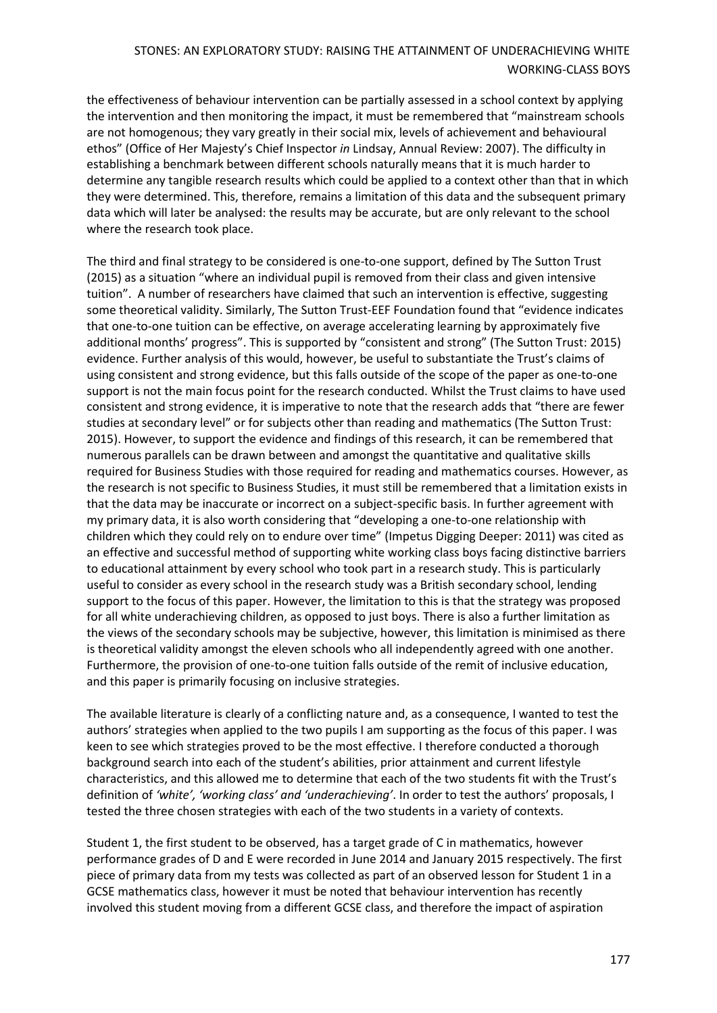the effectiveness of behaviour intervention can be partially assessed in a school context by applying the intervention and then monitoring the impact, it must be remembered that "mainstream schools are not homogenous; they vary greatly in their social mix, levels of achievement and behavioural ethos" (Office of Her Majesty's Chief Inspector *in* Lindsay, Annual Review: 2007). The difficulty in establishing a benchmark between different schools naturally means that it is much harder to determine any tangible research results which could be applied to a context other than that in which they were determined. This, therefore, remains a limitation of this data and the subsequent primary data which will later be analysed: the results may be accurate, but are only relevant to the school where the research took place.

The third and final strategy to be considered is one-to-one support, defined by The Sutton Trust (2015) as a situation "where an individual pupil is removed from their class and given intensive tuition". A number of researchers have claimed that such an intervention is effective, suggesting some theoretical validity. Similarly, The Sutton Trust-EEF Foundation found that "evidence indicates that one-to-one tuition can be effective, on average accelerating learning by approximately five additional months' progress". This is supported by "consistent and strong" (The Sutton Trust: 2015) evidence. Further analysis of this would, however, be useful to substantiate the Trust's claims of using consistent and strong evidence, but this falls outside of the scope of the paper as one-to-one support is not the main focus point for the research conducted. Whilst the Trust claims to have used consistent and strong evidence, it is imperative to note that the research adds that "there are fewer studies at secondary level" or for subjects other than reading and mathematics (The Sutton Trust: 2015). However, to support the evidence and findings of this research, it can be remembered that numerous parallels can be drawn between and amongst the quantitative and qualitative skills required for Business Studies with those required for reading and mathematics courses. However, as the research is not specific to Business Studies, it must still be remembered that a limitation exists in that the data may be inaccurate or incorrect on a subject-specific basis. In further agreement with my primary data, it is also worth considering that "developing a one-to-one relationship with children which they could rely on to endure over time" (Impetus Digging Deeper: 2011) was cited as an effective and successful method of supporting white working class boys facing distinctive barriers to educational attainment by every school who took part in a research study. This is particularly useful to consider as every school in the research study was a British secondary school, lending support to the focus of this paper. However, the limitation to this is that the strategy was proposed for all white underachieving children, as opposed to just boys. There is also a further limitation as the views of the secondary schools may be subjective, however, this limitation is minimised as there is theoretical validity amongst the eleven schools who all independently agreed with one another. Furthermore, the provision of one-to-one tuition falls outside of the remit of inclusive education, and this paper is primarily focusing on inclusive strategies.

The available literature is clearly of a conflicting nature and, as a consequence, I wanted to test the authors' strategies when applied to the two pupils I am supporting as the focus of this paper. I was keen to see which strategies proved to be the most effective. I therefore conducted a thorough background search into each of the student's abilities, prior attainment and current lifestyle characteristics, and this allowed me to determine that each of the two students fit with the Trust's definition of *'white', 'working class' and 'underachieving'*. In order to test the authors' proposals, I tested the three chosen strategies with each of the two students in a variety of contexts.

Student 1, the first student to be observed, has a target grade of C in mathematics, however performance grades of D and E were recorded in June 2014 and January 2015 respectively. The first piece of primary data from my tests was collected as part of an observed lesson for Student 1 in a GCSE mathematics class, however it must be noted that behaviour intervention has recently involved this student moving from a different GCSE class, and therefore the impact of aspiration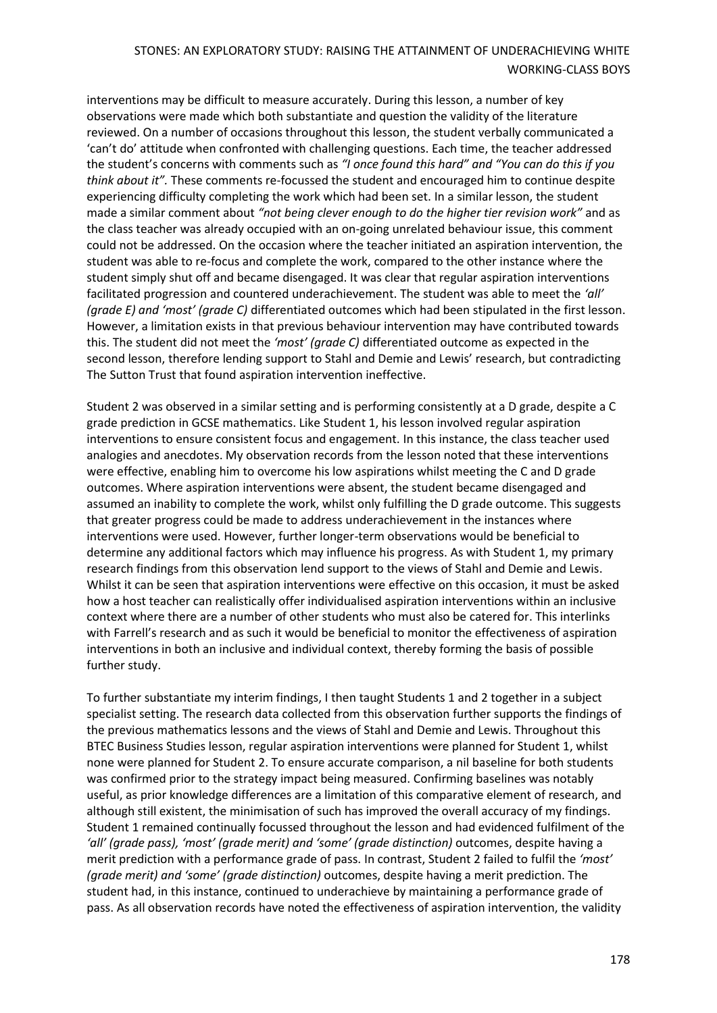interventions may be difficult to measure accurately. During this lesson, a number of key observations were made which both substantiate and question the validity of the literature reviewed. On a number of occasions throughout this lesson, the student verbally communicated a 'can't do' attitude when confronted with challenging questions. Each time, the teacher addressed the student's concerns with comments such as *"I once found this hard" and "You can do this if you think about it".* These comments re-focussed the student and encouraged him to continue despite experiencing difficulty completing the work which had been set. In a similar lesson, the student made a similar comment about *"not being clever enough to do the higher tier revision work"* and as the class teacher was already occupied with an on-going unrelated behaviour issue, this comment could not be addressed. On the occasion where the teacher initiated an aspiration intervention, the student was able to re-focus and complete the work, compared to the other instance where the student simply shut off and became disengaged. It was clear that regular aspiration interventions facilitated progression and countered underachievement. The student was able to meet the *'all' (grade E) and 'most' (grade C)* differentiated outcomes which had been stipulated in the first lesson. However, a limitation exists in that previous behaviour intervention may have contributed towards this. The student did not meet the *'most' (grade C)* differentiated outcome as expected in the second lesson, therefore lending support to Stahl and Demie and Lewis' research, but contradicting The Sutton Trust that found aspiration intervention ineffective.

Student 2 was observed in a similar setting and is performing consistently at a D grade, despite a C grade prediction in GCSE mathematics. Like Student 1, his lesson involved regular aspiration interventions to ensure consistent focus and engagement. In this instance, the class teacher used analogies and anecdotes. My observation records from the lesson noted that these interventions were effective, enabling him to overcome his low aspirations whilst meeting the C and D grade outcomes. Where aspiration interventions were absent, the student became disengaged and assumed an inability to complete the work, whilst only fulfilling the D grade outcome. This suggests that greater progress could be made to address underachievement in the instances where interventions were used. However, further longer-term observations would be beneficial to determine any additional factors which may influence his progress. As with Student 1, my primary research findings from this observation lend support to the views of Stahl and Demie and Lewis. Whilst it can be seen that aspiration interventions were effective on this occasion, it must be asked how a host teacher can realistically offer individualised aspiration interventions within an inclusive context where there are a number of other students who must also be catered for. This interlinks with Farrell's research and as such it would be beneficial to monitor the effectiveness of aspiration interventions in both an inclusive and individual context, thereby forming the basis of possible further study.

To further substantiate my interim findings, I then taught Students 1 and 2 together in a subject specialist setting. The research data collected from this observation further supports the findings of the previous mathematics lessons and the views of Stahl and Demie and Lewis. Throughout this BTEC Business Studies lesson, regular aspiration interventions were planned for Student 1, whilst none were planned for Student 2. To ensure accurate comparison, a nil baseline for both students was confirmed prior to the strategy impact being measured. Confirming baselines was notably useful, as prior knowledge differences are a limitation of this comparative element of research, and although still existent, the minimisation of such has improved the overall accuracy of my findings. Student 1 remained continually focussed throughout the lesson and had evidenced fulfilment of the *'all' (grade pass), 'most' (grade merit) and 'some' (grade distinction)* outcomes, despite having a merit prediction with a performance grade of pass. In contrast, Student 2 failed to fulfil the *'most' (grade merit) and 'some' (grade distinction)* outcomes, despite having a merit prediction. The student had, in this instance, continued to underachieve by maintaining a performance grade of pass. As all observation records have noted the effectiveness of aspiration intervention, the validity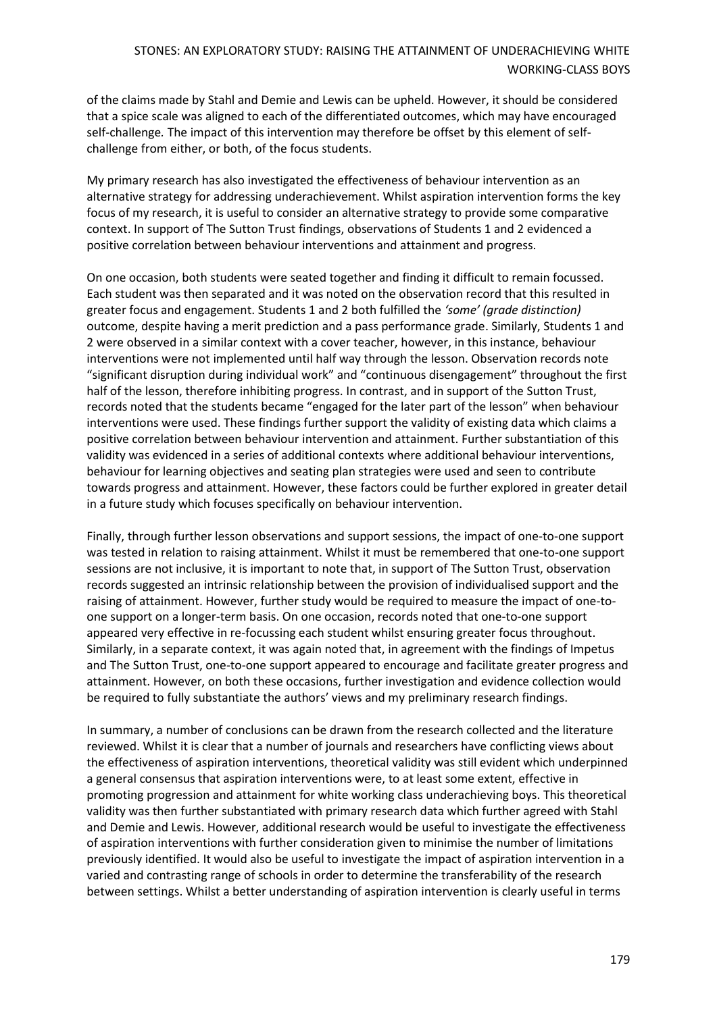of the claims made by Stahl and Demie and Lewis can be upheld. However, it should be considered that a spice scale was aligned to each of the differentiated outcomes, which may have encouraged self-challenge*.* The impact of this intervention may therefore be offset by this element of selfchallenge from either, or both, of the focus students.

My primary research has also investigated the effectiveness of behaviour intervention as an alternative strategy for addressing underachievement. Whilst aspiration intervention forms the key focus of my research, it is useful to consider an alternative strategy to provide some comparative context. In support of The Sutton Trust findings, observations of Students 1 and 2 evidenced a positive correlation between behaviour interventions and attainment and progress.

On one occasion, both students were seated together and finding it difficult to remain focussed. Each student was then separated and it was noted on the observation record that this resulted in greater focus and engagement. Students 1 and 2 both fulfilled the *'some' (grade distinction)*  outcome, despite having a merit prediction and a pass performance grade. Similarly, Students 1 and 2 were observed in a similar context with a cover teacher, however, in this instance, behaviour interventions were not implemented until half way through the lesson. Observation records note "significant disruption during individual work" and "continuous disengagement" throughout the first half of the lesson, therefore inhibiting progress. In contrast, and in support of the Sutton Trust, records noted that the students became "engaged for the later part of the lesson" when behaviour interventions were used. These findings further support the validity of existing data which claims a positive correlation between behaviour intervention and attainment. Further substantiation of this validity was evidenced in a series of additional contexts where additional behaviour interventions, behaviour for learning objectives and seating plan strategies were used and seen to contribute towards progress and attainment. However, these factors could be further explored in greater detail in a future study which focuses specifically on behaviour intervention.

Finally, through further lesson observations and support sessions, the impact of one-to-one support was tested in relation to raising attainment. Whilst it must be remembered that one-to-one support sessions are not inclusive, it is important to note that, in support of The Sutton Trust, observation records suggested an intrinsic relationship between the provision of individualised support and the raising of attainment. However, further study would be required to measure the impact of one-toone support on a longer-term basis. On one occasion, records noted that one-to-one support appeared very effective in re-focussing each student whilst ensuring greater focus throughout. Similarly, in a separate context, it was again noted that, in agreement with the findings of Impetus and The Sutton Trust, one-to-one support appeared to encourage and facilitate greater progress and attainment. However, on both these occasions, further investigation and evidence collection would be required to fully substantiate the authors' views and my preliminary research findings.

In summary, a number of conclusions can be drawn from the research collected and the literature reviewed. Whilst it is clear that a number of journals and researchers have conflicting views about the effectiveness of aspiration interventions, theoretical validity was still evident which underpinned a general consensus that aspiration interventions were, to at least some extent, effective in promoting progression and attainment for white working class underachieving boys. This theoretical validity was then further substantiated with primary research data which further agreed with Stahl and Demie and Lewis. However, additional research would be useful to investigate the effectiveness of aspiration interventions with further consideration given to minimise the number of limitations previously identified. It would also be useful to investigate the impact of aspiration intervention in a varied and contrasting range of schools in order to determine the transferability of the research between settings. Whilst a better understanding of aspiration intervention is clearly useful in terms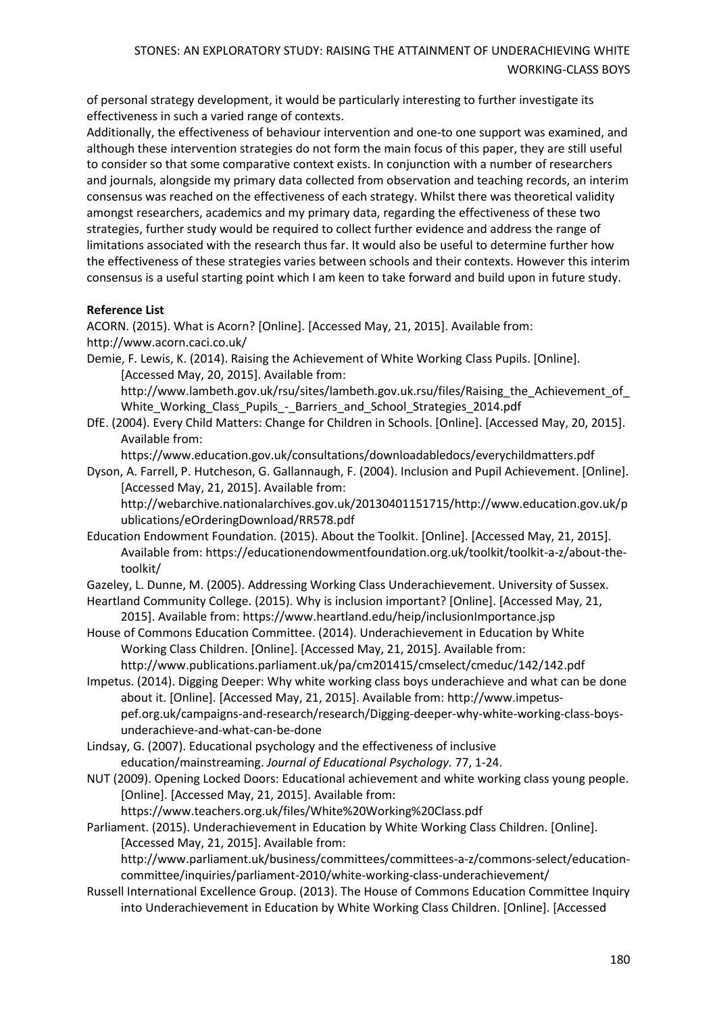of personal strategy development, it would be particularly interesting to further investigate its effectiveness in such a varied range of contexts.

Additionally, the effectiveness of behaviour intervention and one-to one support was examined, and although these intervention strategies do not form the main focus of this paper, they are still useful to consider so that some comparative context exists. In conjunction with a number of researchers and journals, alongside my primary data collected from observation and teaching records, an interim consensus was reached on the effectiveness of each strategy. Whilst there was theoretical validity amongst researchers, academics and my primary data, regarding the effectiveness of these two strategies, further study would be required to collect further evidence and address the range of limitations associated with the research thus far. It would also be useful to determine further how the effectiveness of these strategies varies between schools and their contexts. However this interim consensus is a useful starting point which I am keen to take forward and build upon in future study.

### **Reference List**

ACORN. (2015). What is Acorn? [Online]. [Accessed May, 21, 2015]. Available from: <http://www.acorn.caci.co.uk/>

Demie, F. Lewis, K. (2014). Raising the Achievement of White Working Class Pupils. [Online]. [Accessed May, 20, 2015]. Available from:

[http://www.lambeth.gov.uk/rsu/sites/lambeth.gov.uk.rsu/files/Raising\\_the\\_Achievement\\_of\\_](http://www.lambeth.gov.uk/rsu/sites/lambeth.gov.uk.rsu/files/Raising_the_Achievement_of_White_Working_Class_Pupils_-_Barriers_and_School_Strategies_2014.pdf) White Working Class Pupils - Barriers and School Strategies 2014.pdf

DfE. (2004). Every Child Matters: Change for Children in Schools. [Online]. [Accessed May, 20, 2015]. Available from:

<https://www.education.gov.uk/consultations/downloadabledocs/everychildmatters.pdf>

Dyson, A. Farrell, P. Hutcheson, G. Gallannaugh, F. (2004). Inclusion and Pupil Achievement. [Online]. [Accessed May, 21, 2015]. Available from:

[http://webarchive.nationalarchives.gov.uk/20130401151715/http://www.education.gov.uk/p](http://webarchive.nationalarchives.gov.uk/20130401151715/http:/www.education.gov.uk/publications/eOrderingDownload/RR578.pdf) [ublications/eOrderingDownload/RR578.pdf](http://webarchive.nationalarchives.gov.uk/20130401151715/http:/www.education.gov.uk/publications/eOrderingDownload/RR578.pdf)

Education Endowment Foundation. (2015). About the Toolkit. [Online]. [Accessed May, 21, 2015]. Available from: [https://educationendowmentfoundation.org.uk/toolkit/toolkit-a-z/about-the](https://educationendowmentfoundation.org.uk/toolkit/toolkit-a-z/about-the-toolkit/)[toolkit/](https://educationendowmentfoundation.org.uk/toolkit/toolkit-a-z/about-the-toolkit/)

Gazeley, L. Dunne, M. (2005). Addressing Working Class Underachievement. University of Sussex.

- Heartland Community College. (2015). Why is inclusion important? [Online]. [Accessed May, 21, 2015]. Available from: <https://www.heartland.edu/heip/inclusionImportance.jsp>
- House of Commons Education Committee. (2014). Underachievement in Education by White Working Class Children. [Online]. [Accessed May, 21, 2015]. Available from: <http://www.publications.parliament.uk/pa/cm201415/cmselect/cmeduc/142/142.pdf>
- Impetus. (2014). Digging Deeper: Why white working class boys underachieve and what can be done about it. [Online]. [Accessed May, 21, 2015]. Available from: [http://www.impetus](http://www.impetus-pef.org.uk/campaigns-and-research/research/Digging-deeper-why-white-working-class-boys-underachieve-and-what-can-be-done)[pef.org.uk/campaigns-and-research/research/Digging-deeper-why-white-working-class-boys](http://www.impetus-pef.org.uk/campaigns-and-research/research/Digging-deeper-why-white-working-class-boys-underachieve-and-what-can-be-done)[underachieve-and-what-can-be-done](http://www.impetus-pef.org.uk/campaigns-and-research/research/Digging-deeper-why-white-working-class-boys-underachieve-and-what-can-be-done)

Lindsay, G. (2007). Educational psychology and the effectiveness of inclusive education/mainstreaming. *Journal of Educational Psychology.* 77, 1-24.

NUT (2009). Opening Locked Doors: Educational achievement and white working class young people. [Online]. [Accessed May, 21, 2015]. Available from:

<https://www.teachers.org.uk/files/White%20Working%20Class.pdf>

Parliament. (2015). Underachievement in Education by White Working Class Children. [Online]. [Accessed May, 21, 2015]. Available from:

[http://www.parliament.uk/business/committees/committees-a-z/commons-select/education](http://www.parliament.uk/business/committees/committees-a-z/commons-select/education-committee/inquiries/parliament-2010/white-working-class-underachievement/)[committee/inquiries/parliament-2010/white-working-class-underachievement/](http://www.parliament.uk/business/committees/committees-a-z/commons-select/education-committee/inquiries/parliament-2010/white-working-class-underachievement/)

Russell International Excellence Group. (2013). The House of Commons Education Committee Inquiry into Underachievement in Education by White Working Class Children. [Online]. [Accessed